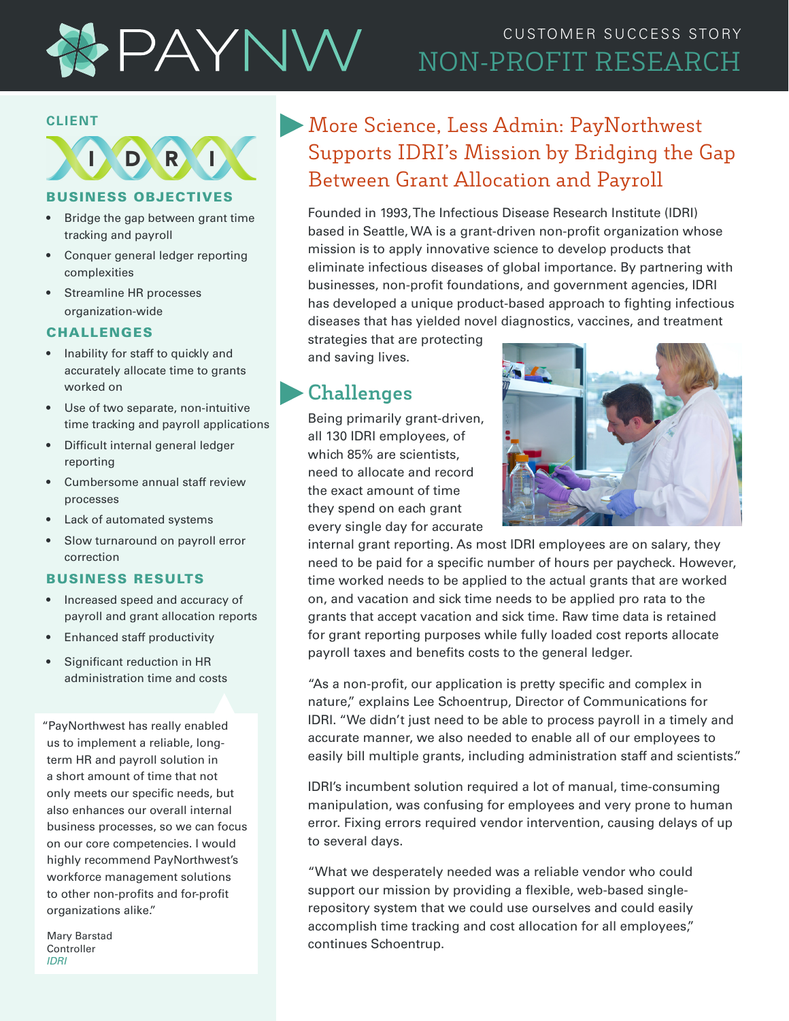

## CUSTOMER SUCCESS STORY NON-PROFIT RESEARCH

#### **CLIENT**

D R

#### BUSINESS OBJECTIVES

- Bridge the gap between grant time tracking and payroll
- Conquer general ledger reporting complexities
- Streamline HR processes organization-wide

### CHALLENGES

- Inability for staff to quickly and accurately allocate time to grants worked on
- Use of two separate, non-intuitive time tracking and payroll applications
- Difficult internal general ledger reporting
- Cumbersome annual staff review processes
- Lack of automated systems
- Slow turnaround on payroll error correction

#### BUSINESS RESULTS

- Increased speed and accuracy of payroll and grant allocation reports
- Enhanced staff productivity
- Significant reduction in HR administration time and costs

"PayNorthwest has really enabled us to implement a reliable, longterm HR and payroll solution in a short amount of time that not only meets our specific needs, but also enhances our overall internal business processes, so we can focus on our core competencies. I would highly recommend PayNorthwest's workforce management solutions to other non-profits and for-profit organizations alike."

Mary Barstad **Controller** *IDRI*

## More Science, Less Admin: PayNorthwest Supports IDRI's Mission by Bridging the Gap Between Grant Allocation and Payroll

Founded in 1993, The Infectious Disease Research Institute (IDRI) based in Seattle, WA is a grant-driven non-profit organization whose mission is to apply innovative science to develop products that eliminate infectious diseases of global importance. By partnering with businesses, non-profit foundations, and government agencies, IDRI has developed a unique product-based approach to fighting infectious diseases that has yielded novel diagnostics, vaccines, and treatment

strategies that are protecting and saving lives.

### **Challenges**

Being primarily grant-driven, all 130 IDRI employees, of which 85% are scientists, need to allocate and record the exact amount of time they spend on each grant every single day for accurate



internal grant reporting. As most IDRI employees are on salary, they need to be paid for a specific number of hours per paycheck. However, time worked needs to be applied to the actual grants that are worked on, and vacation and sick time needs to be applied pro rata to the grants that accept vacation and sick time. Raw time data is retained for grant reporting purposes while fully loaded cost reports allocate payroll taxes and benefits costs to the general ledger.

"As a non-profit, our application is pretty specific and complex in nature," explains Lee Schoentrup, Director of Communications for IDRI. "We didn't just need to be able to process payroll in a timely and accurate manner, we also needed to enable all of our employees to easily bill multiple grants, including administration staff and scientists."

IDRI's incumbent solution required a lot of manual, time-consuming manipulation, was confusing for employees and very prone to human error. Fixing errors required vendor intervention, causing delays of up to several days.

"What we desperately needed was a reliable vendor who could support our mission by providing a flexible, web-based singlerepository system that we could use ourselves and could easily accomplish time tracking and cost allocation for all employees," continues Schoentrup.